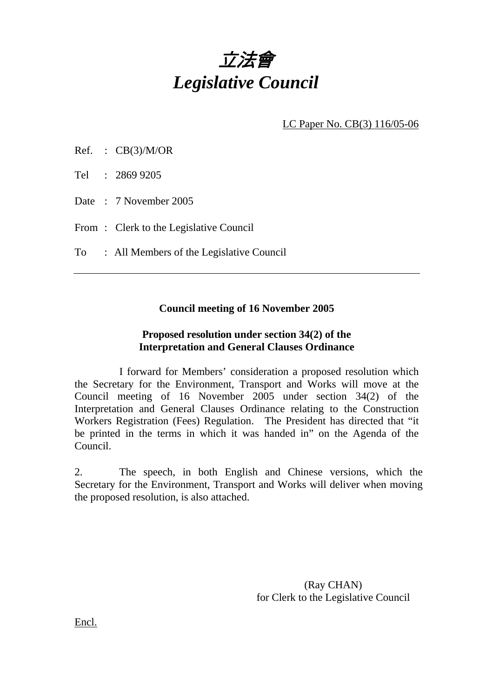

LC Paper No. CB(3) 116/05-06

| Ref. |  | CB(3)/M/OR |
|------|--|------------|
|------|--|------------|

Tel : 2869 9205

Date : 7 November 2005

From: Clerk to the Legislative Council

To : All Members of the Legislative Council

#### **Council meeting of 16 November 2005**

#### **Proposed resolution under section 34(2) of the Interpretation and General Clauses Ordinance**

 I forward for Members' consideration a proposed resolution which the Secretary for the Environment, Transport and Works will move at the Council meeting of 16 November 2005 under section 34(2) of the Interpretation and General Clauses Ordinance relating to the Construction Workers Registration (Fees) Regulation. The President has directed that "it be printed in the terms in which it was handed in" on the Agenda of the Council.

2. The speech, in both English and Chinese versions, which the Secretary for the Environment, Transport and Works will deliver when moving the proposed resolution, is also attached.

> (Ray CHAN) for Clerk to the Legislative Council

Encl.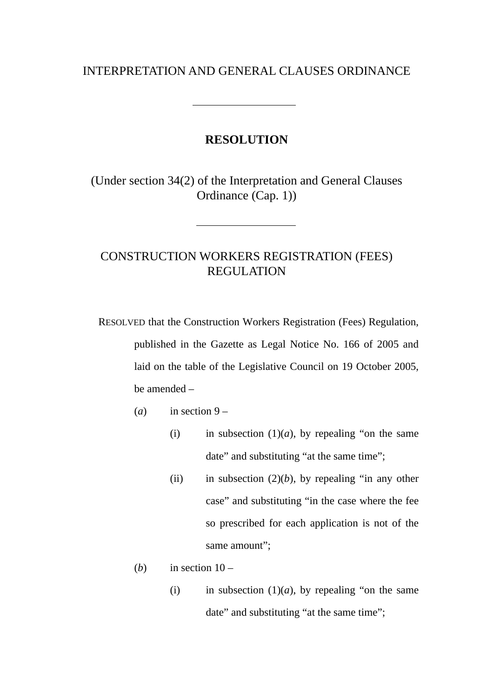### INTERPRETATION AND GENERAL CLAUSES ORDINANCE

#### **RESOLUTION**

(Under section 34(2) of the Interpretation and General Clauses Ordinance (Cap. 1))

# CONSTRUCTION WORKERS REGISTRATION (FEES) REGULATION

RESOLVED that the Construction Workers Registration (Fees) Regulation, published in the Gazette as Legal Notice No. 166 of 2005 and laid on the table of the Legislative Council on 19 October 2005, be amended –

- (*a*) in section  $9 -$ 
	- (i) in subsection  $(1)(a)$ , by repealing "on the same date" and substituting "at the same time";
	- (ii) in subsection  $(2)(b)$ , by repealing "in any other case" and substituting "in the case where the fee so prescribed for each application is not of the same amount":
- (*b*) in section  $10 -$ 
	- (i) in subsection  $(1)(a)$ , by repealing "on the same date" and substituting "at the same time";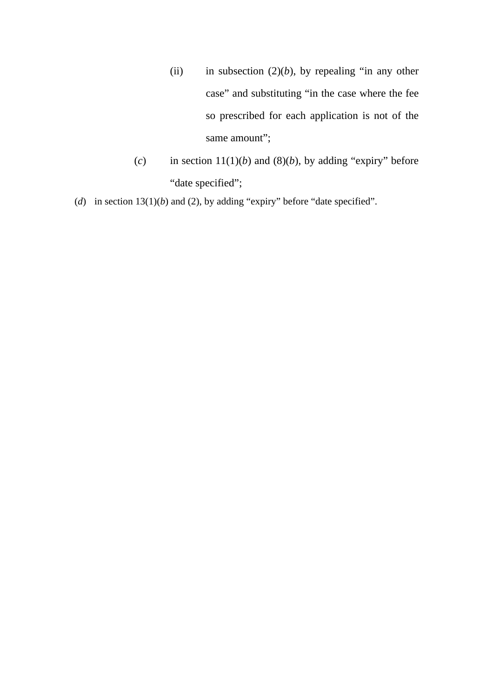- (ii) in subsection  $(2)(b)$ , by repealing "in any other case" and substituting "in the case where the fee so prescribed for each application is not of the same amount";
- (*c*) in section  $11(1)(b)$  and  $(8)(b)$ , by adding "expiry" before "date specified";

(*d*) in section 13(1)(*b*) and (2), by adding "expiry" before "date specified".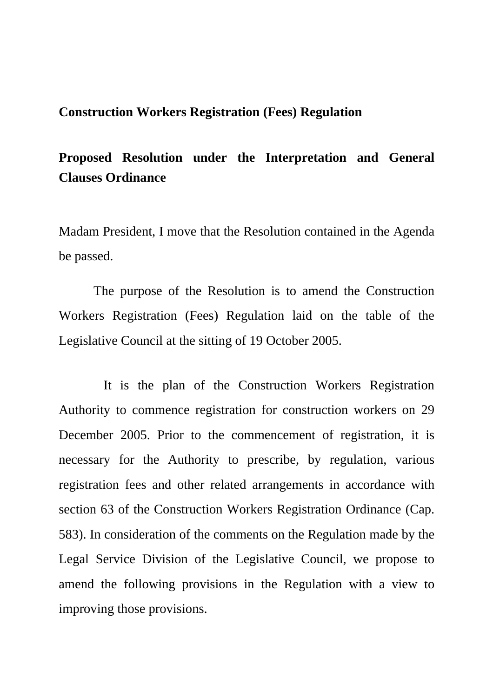## **Construction Workers Registration (Fees) Regulation**

# **Proposed Resolution under the Interpretation and General Clauses Ordinance**

Madam President, I move that the Resolution contained in the Agenda be passed.

 The purpose of the Resolution is to amend the Construction Workers Registration (Fees) Regulation laid on the table of the Legislative Council at the sitting of 19 October 2005.

 It is the plan of the Construction Workers Registration Authority to commence registration for construction workers on 29 December 2005. Prior to the commencement of registration, it is necessary for the Authority to prescribe, by regulation, various registration fees and other related arrangements in accordance with section 63 of the Construction Workers Registration Ordinance (Cap. 583). In consideration of the comments on the Regulation made by the Legal Service Division of the Legislative Council, we propose to amend the following provisions in the Regulation with a view to improving those provisions.